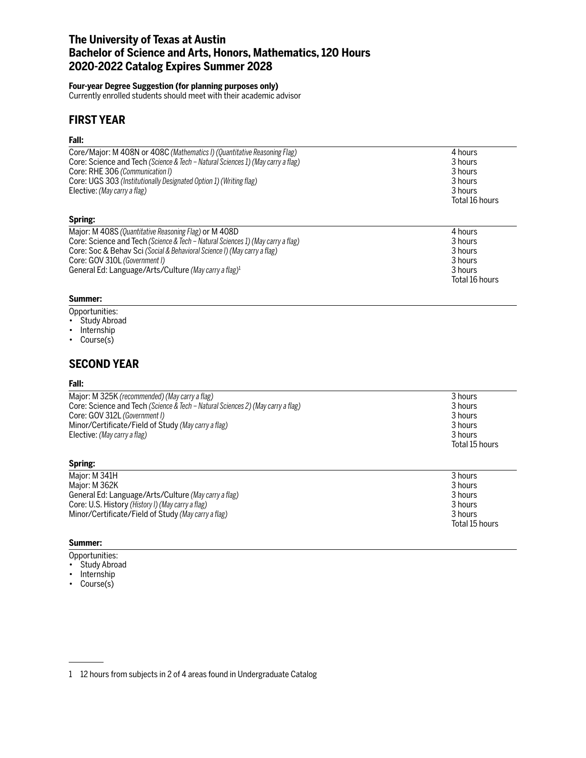## **The University of Texas at Austin Bachelor of Science and Arts, Honors, Mathematics, 120 Hours 2020-2022 Catalog Expires Summer 2028**

### **Four-year Degree Suggestion (for planning purposes only)**

Currently enrolled students should meet with their academic advisor

## **FIRST YEAR**

### **Fall:**

| Core/Major: M 408N or 408C (Mathematics I) (Quantitative Reasoning Flag)        | 4 hours        |
|---------------------------------------------------------------------------------|----------------|
| Core: Science and Tech (Science & Tech - Natural Sciences 1) (May carry a flag) | 3 hours        |
| Core: RHE 306 (Communication I)                                                 | 3 hours        |
| Core: UGS 303 (Institutionally Designated Option 1) (Writing flag)              | 3 hours        |
| Elective: (May carry a flag)                                                    | 3 hours        |
|                                                                                 | Total 16 hours |
| Spring:                                                                         |                |
| Major: M 408S (Quantitative Reasoning Flag) or M 408D                           | 4 hours        |
| Core: Science and Tech (Science & Tech – Natural Sciences 1) (May carry a flag) | 3 hours        |
| Core: Soc & Behav Sci (Social & Behavioral Science I) (May carry a flag)        | 3 hours        |
| Core: GOV 310L (Government I)                                                   | 3 hours        |
| General Ed: Language/Arts/Culture (May carry a flag) <sup>1</sup>               | 3 hours        |
|                                                                                 | Total 16 hours |

### **Summer:**

- Opportunities:
- Study Abroad
- Internship
- Course(s)

## **SECOND YEAR**

### **Fall:**

| Major: M 325K (recommended) (May carry a flag)                                  | 3 hours                   |
|---------------------------------------------------------------------------------|---------------------------|
| Core: Science and Tech (Science & Tech – Natural Sciences 2) (May carry a flag) | 3 hours                   |
| Core: GOV 312L (Government I)                                                   | 3 hours                   |
| Minor/Certificate/Field of Study (May carry a flag)                             | 3 hours                   |
| Elective: (May carry a flag)                                                    | 3 hours<br>Total 15 hours |

#### Major: M 341H 3 hours<br>Major: M 362K 3 hours 3 hours 3 hours 3 hours 3 hours 3 hours 3 hours 3 hours 3 hours 3 hours 3 hours 3 hours Major: M 362K General Ed: Language/Arts/Culture *(May carry a flag)* 3 hours 3 hours 3 hours 3 hours 3 hours 3 hours 3 hours 3 hours 3 hours 3 hours 3 hours 3 hours 3 hours 3 hours 3 hours 3 hours 3 hours 3 hours 3 hours 3 hours 3 hours **Core: U.S. History** *(History I) (May carry a flag)* Minor/Certificate/Field of Study *(May carry a flag)* 3 hours Total 15 hours

### **Summer:**

**Spring:**

- Opportunities:
- Study Abroad
- Internship
- Course(s)

<sup>1</sup> 12 hours from subjects in 2 of 4 areas found in Undergraduate Catalog